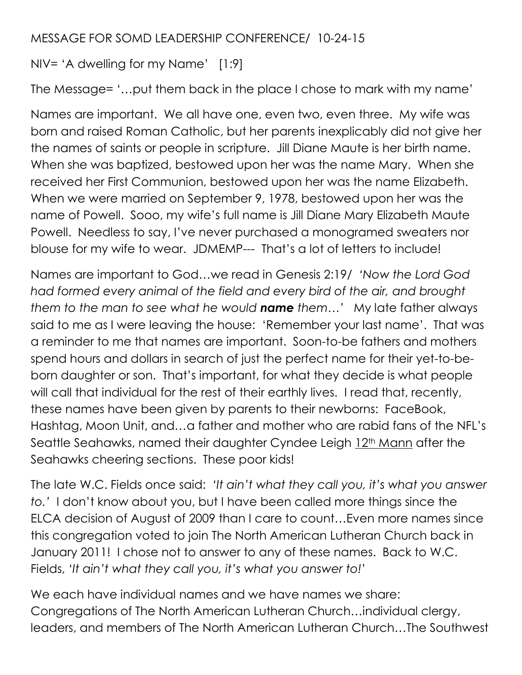## MESSAGE FOR SOMD LEADERSHIP CONFERENCE/ 10-24-15

NIV= 'A dwelling for my Name' [1:9]

The Message= '…put them back in the place I chose to mark with my name'

Names are important. We all have one, even two, even three. My wife was born and raised Roman Catholic, but her parents inexplicably did not give her the names of saints or people in scripture. Jill Diane Maute is her birth name. When she was baptized, bestowed upon her was the name Mary. When she received her First Communion, bestowed upon her was the name Elizabeth. When we were married on September 9, 1978, bestowed upon her was the name of Powell. Sooo, my wife's full name is Jill Diane Mary Elizabeth Maute Powell. Needless to say, I've never purchased a monogramed sweaters nor blouse for my wife to wear. JDMEMP--- That's a lot of letters to include!

Names are important to God…we read in Genesis 2:19/ *'Now the Lord God had formed every animal of the field and every bird of the air, and brought them to the man to see what he would name them…'* My late father always said to me as I were leaving the house: 'Remember your last name'. That was a reminder to me that names are important. Soon-to-be fathers and mothers spend hours and dollars in search of just the perfect name for their yet-to-beborn daughter or son. That's important, for what they decide is what people will call that individual for the rest of their earthly lives. I read that, recently, these names have been given by parents to their newborns: FaceBook, Hashtag, Moon Unit, and…a father and mother who are rabid fans of the NFL's Seattle Seahawks, named their daughter Cyndee Leigh 12<sup>th</sup> Mann after the Seahawks cheering sections. These poor kids!

The late W.C. Fields once said: *'It ain't what they call you, it's what you answer to.'* I don't know about you, but I have been called more things since the ELCA decision of August of 2009 than I care to count…Even more names since this congregation voted to join The North American Lutheran Church back in January 2011! I chose not to answer to any of these names. Back to W.C. Fields, *'It ain't what they call you, it's what you answer to!*'

We each have individual names and we have names we share: Congregations of The North American Lutheran Church…individual clergy, leaders, and members of The North American Lutheran Church…The Southwest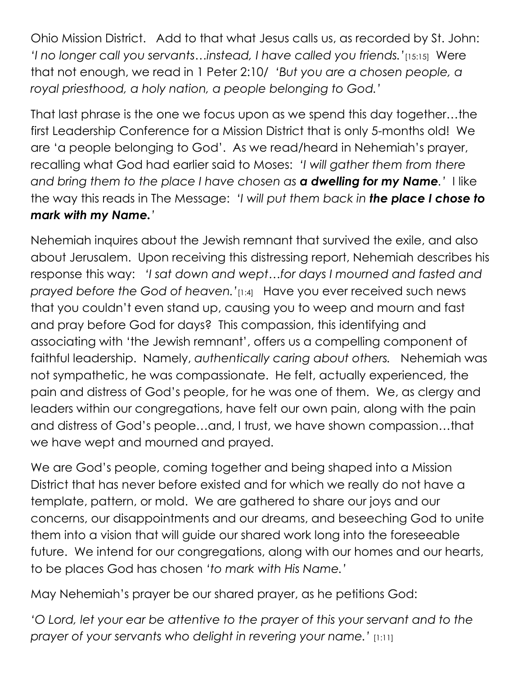Ohio Mission District. Add to that what Jesus calls us, as recorded by St. John: *'I no longer call you servants…instead, I have called you friends.'*[15:15] Were that not enough, we read in 1 Peter 2:10/ *'But you are a chosen people, a royal priesthood, a holy nation, a people belonging to God.'* 

That last phrase is the one we focus upon as we spend this day together…the first Leadership Conference for a Mission District that is only 5-months old! We are 'a people belonging to God'. As we read/heard in Nehemiah's prayer, recalling what God had earlier said to Moses: *'I will gather them from there and bring them to the place I have chosen as a dwelling for my Name.'* I like the way this reads in The Message: *'I will put them back in the place I chose to mark with my Name.'* 

Nehemiah inquires about the Jewish remnant that survived the exile, and also about Jerusalem. Upon receiving this distressing report, Nehemiah describes his response this way: *'I sat down and wept…for days I mourned and fasted and prayed before the God of heaven.'*[1:4] Have you ever received such news that you couldn't even stand up, causing you to weep and mourn and fast and pray before God for days? This compassion, this identifying and associating with 'the Jewish remnant', offers us a compelling component of faithful leadership. Namely, *authentically caring about others.* Nehemiah was not sympathetic, he was compassionate. He felt, actually experienced, the pain and distress of God's people, for he was one of them. We, as clergy and leaders within our congregations, have felt our own pain, along with the pain and distress of God's people…and, I trust, we have shown compassion…that we have wept and mourned and prayed.

We are God's people, coming together and being shaped into a Mission District that has never before existed and for which we really do not have a template, pattern, or mold. We are gathered to share our joys and our concerns, our disappointments and our dreams, and beseeching God to unite them into a vision that will guide our shared work long into the foreseeable future. We intend for our congregations, along with our homes and our hearts, to be places God has chosen *'to mark with His Name.'*

May Nehemiah's prayer be our shared prayer, as he petitions God:

*'O Lord, let your ear be attentive to the prayer of this your servant and to the prayer of your servants who delight in revering your name.'* [1:11]